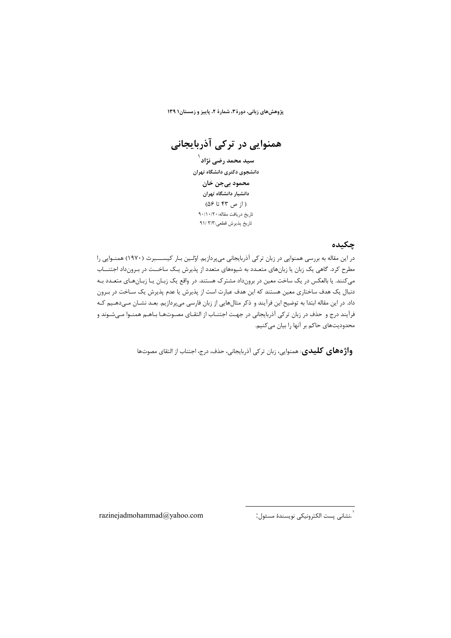پژوهشهای زبانی، دورة ۳، شمارة ۲، پاییز و زمستان۱۳۹

همنوایی در ترکی آذربایجانی

سید محمد رضی نژاد<sup>۱</sup> دانشجوی دکتری دانشگاه تهران محمود بيجن خان دانشیار دانشگاه تهران  $(1; 9)$  ( از ص ۴۳ تا ۵۶) تاريخ دريافت مقاله: ٩٠/١٠/٢٠ تاريخ پذيرش قطعي:٣/٣ /٩١

## چکىدە

در این مقاله به بررسی همنوایی در زبان ترکی آذربایجانی میپردازیم. اوّلین بـار کیســــبرث (١٩٧٠) همنـوایی را مطرح کرد. گاهی یک زبان یا زبانهای متعـدد به شیوههای متعدد از پذیرش یـک ساخــت در بـرونداد اجتنـــاب میکنند. یا بالعکس در یک ساخت معین در برونداد مشترک هستند. در واقع یک زبـان یـا زبـانهـای متعـدد بـه دنبال یک هدف ساختاری معین هستند که این هدف عبارت است از پذیرش یا عدم پذیرش یک سـاخت در بـرون داد. در این مقاله ابتدا به توضیح این فرآیند و ذکر مثالهایی از زبان فارسی میپردازیم. بعـد نشــان مــیدهــیم کــه .<br>فرآیند درج و حذف در زبان ترکی آذربایجانی در جهت اجتنـاب از التقـای مصـوتهـا بـاهـم همنـوا مـی شـوند و محدودیتھای حاکم بر آنھا را بیان مے کنیم.

**واژ ٥های کلیدی**: همنوایی، زبان ترکی آذربایجانی، حذف، درج، اجتناب از التقای مصوتها

.<br>`.نشانى پست الكترونيكى نويسندهٔ مسئول.`

razinejadmohammad@yahoo.com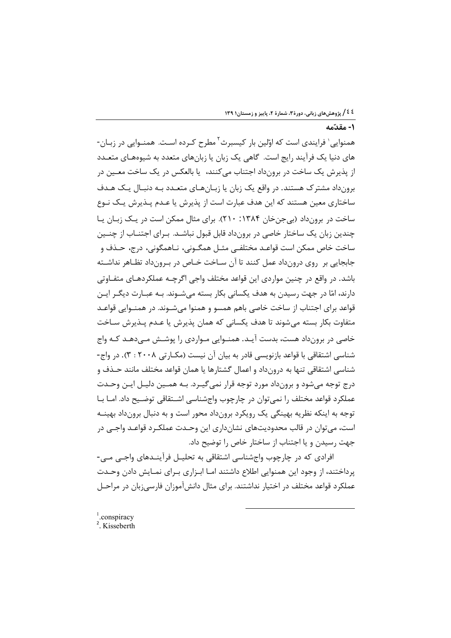۱- مقدّمه

همنوایی٬ فرایندی است که اوّلین بار کیسبرث ٌ مطرح کـرده اسـت. همنـوایی در زبـان-های دنیا یک فرآیند رایج است. گاهی یک زبان یا زبانهای متعدد به شیوههـای متعـدد از پذيرش يک ساخت در برونداد اجتناب *مي کن*ند، يا بالعکس در يک ساخت معــين در برونداد مشترک هستند. در واقع یک زبان یا زبـانهـای متعـدد بـه دنبـال یـک هـدف ساختاری معین هستند که این هدف عبارت است از پذیرش یا عـدم پــذیرش پــک نــوع ساخت در برونداد (بی جن خان ۱۳۸۴: ۲۱۰). برای مثال ممکن است در یـک زبـان یـا چندین زبان یک ساختار خاصی در برونداد قابل قبول نباشـد. بـرای اجتنــاب از چنــین ساخت خاص ممکن است قواعـد مختلفـي مثـل همگـوني، نـاهمگوني، درج، حـذف و جابجايي بن روي درونداد عمل كنند تا آن سـاخت خـاص در بـرونداد تظـاهر نداشـته باشد. در واقع در چنین مواردی این قواعد مختلف واجی اگرچـه عملکردهـای متفـاوتی دارند، امّا در جهت رسیدن به هدف یکسانی بکار بسته میشـوند. بـه عبـارت دیگـر ایـن قواعد برای اجتناب از ساخت خاصی باهم همسو و همنوا میشـوند. در همنـوایی قواعـد متفاوت بكار بسته مىشوند تا هدف يكسانى كه همان پذيرش يا عـدم پـذيرش سـاخت خاصی در برونداد هست، بدست آیـد. همنـوایی مـواردی را پوشـش مـیدهـد کـه واج شناسی اشتقاقی با قواعد بازنویسی قادر به بیان آن نیست (مکـار تی ۲۰۰۸ : ۳). در واج-شناسی اشتقاقی تنها به درونداد و اعمال گشتارها یا همان قواعد مختلف مانند حـذف و درج توجه میشود و برونداد مورد توجه قرار نمی گیـرد. بـه همـین دلیـل ایـن وحـدت عملکرد قواعد مختلف را نمی توان در چارچوب واجشناسی اشتقاقی توضیح داد. امـا بـا توجه به اینکه نظریه بهینگی یک رویکرد برونداد محور است و به دنبال برونداد بهینــه است، مے توان در قالب محدودیتهای نشانداری این وحـدت عملکـرد قواعـد واجـی در جهت رسیدن و یا اجتناب از ساختار خاص را توضیح داد.

افرادي كه در چارچوب واجشناسي اشتقاقي به تحليـل فرآينـدهاي واجـي مـي-پرداختند، از وجود این همنوایی اطلاع داشتند امـا ابـزاری بـرای نمـایش دادن وحـدت عملکرد قواعد مختلف در اختیار نداشتند. برای مثال دانش آموزان فارسی;بان در مراحـل

<sup>2</sup>. Kisseberth

 $1$ .conspiracy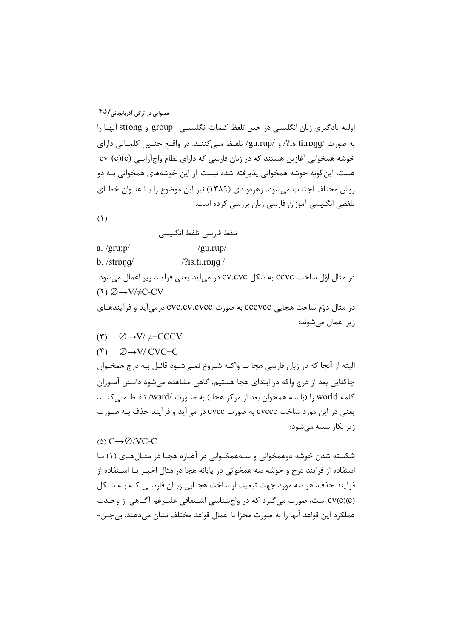اوليه يادگيري زبان انگليسي در حين تلفظ كلمات انگليســي group و strong آنهـا را به صورت /pis.ti.rpŋg/ و /gu.rup/ تلفـظ مـي كننــد. در واقــع چنــين كلمــاتي داراي خوشه همخوانی آغازین هستند که در زبان فارسی که دارای نظام واجآرایـی (cv (c)(c هست، این گونه خوشه همخوانی پذیرفته شده نیست. از این خوشههای همخوانی بـه دو روش مختلف اجتناب می شود. زهرهوندی (۱۳۸۹) نیز این موضوع را بـا عنـوان خطـای تلفظی انگلیسی آموزان فارسی زبان بررسی کرده است.

 $(1)$ 

تلفظ فارسی تلفظ انگلیسی

a.  $/$ gru: $p/$  $/gu.rup/$ 

b. /strpnq/  $/$ ?is.ti.rpng  $/$ 

در مثال اوّل ساخت ccvc به شکل cv.cvc در می[ید یعنی فرآیند زیر اعمال می شود.  $(1)$   $\emptyset \rightarrow V/\neq C$ -CV

در مثال دوّم ساخت هجایی cccvcc به صورت cvc.cv.cvcc درمی آید و فرآیندهـای زیر اعمال می شوند:

- $(\mathbf{r}) \quad \emptyset \rightarrow V/\neq$ -CCCV
- $({}^{\circ})$   $\emptyset \rightarrow V/CVC-C$

البته از آنجا که در زبان فارسی هجا بـا واکـه شـروع نمـیشـود قائـل بـه درج همخـوان چاکنایی بعد از درج واکه در ابتدای هجا هستیم. گاهی مشاهده می شود دانـش آمـوزان كلمه world ,ا (با سه همخوان بعد از مركز هجا ) به صـورت /wзrd/ تلفـظ مــ كننــد یعنی در این مورد ساخت cvccc به صورت cvcc در می آید و فرآیند حذف بـه صـورت زیر بکار بسته می شود:

## $\omega$  C $\rightarrow \emptyset$ /VC-C

شکسته شدن خوشه دوهمخوانی و سـههمخـوانی در آغـازه هجـا در مثـالٍهـای (۱) بـا استفاده از فرایند درج و خوشه سه همخوانی در پایانه هجا در مثال اخیــر بــا اســتفاده از فرآیند حذف، هر سه مورد جهت تبعیت از ساخت هجـایی زبـان فارسـی کـه بـه شـکل (cv(c)(c) است، صورت می گیرد که در واجشناسی اشتقاقی علیـرغم آگـاهی از وحـدت عملکرد این قواعد آنها را به صورت مجزا با اعمال قواعد مختلف نشان میدهند. بیجـن-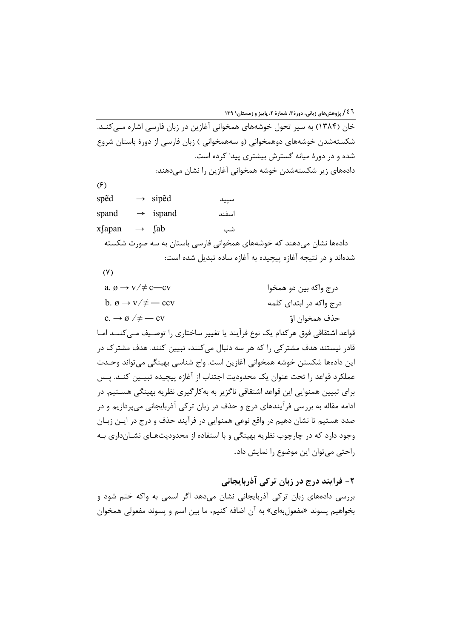خان (۱۳۸۴) به سیر تحول خوشههای همخوانی آغازین در زبان فارسی اشاره مــی کنــد. شکستهشدن خوشههای دوهمخوانی (و سههمخوانی ) زبان فارسی از دورهٔ باستان شروع شده و در دورهٔ میانه گسترش بیشتری پیدا کرده است. دادههای زیر شکستهشدن خوشه همخوانی آغازین را نشان میدهند:

 $(5)$ 

spēd  $\rightarrow$  siped سييد  $\rightarrow$  ispand اسفند spand xfapan  $\rightarrow$  fab شب دادهها نشان میدهند که خوشههای همخوانی فارسی باستان به سه صورت شکسته شدهاند و در نتیجه آغازه پیچیده به آغازه ساده تبدیل شده است:

 $(Y)$ 

a.  $\varnothing \rightarrow \nu/\neq c$ —cv درج واکه بين دو همخوا b.  $\varnothing \rightarrow \nu/\neq -ccv$ درج واکه در ابتدای کلمه  $c \rightarrow \emptyset / \neq -cy$ حذف همخوان اوّ قواعد اشتقاقی فوق هر کدام یک نوع فرآیند یا تغییر ساختاری را توصـیف مـی کننــد امــا قادر نیستند هدف مشتر کی را که هر سه دنبال می کنند، تبیین کنند. هدف مشتر ک در این دادهها شکستن خوشه همخوانی آغازین است. واج شناسی بهینگی می تواند وحـدت عملكرد قواعد را تحت عنوان يك محدوديت اجتناب از آغازه ييچيده تبيـين كنــد. يـس برای تبیین همنوایی این قواعد اشتقاقی ناگزیر به بهکار گیری نظریه بهینگی هسـتیم. در ادامه مقاله به بررسی فرآیندهای درج و حذف در زبان ترکی آذربایجانی می پردازیم و در صدد هستیم تا نشان دهیم در واقع نوعی همنوایی در فرآیند حذف و درج در ایــن زبــان وجود دارد که در چارچوب نظریه بهینگی و با استفاده از محدودیتهـای نشــانداری بــه راحتی می توان این موضوع را نمایش داد.

۲- فرایند درج در زبان ترکی آذربایجانی بررسی دادههای زبان ترکی آذربایجانی نشان میدهد اگر اسمی به واکه ختم شود و بخواهيم يسوند «مفعولبهاي» به آن اضافه كنيم، ما بين اسم و يسوند مفعولي همخوان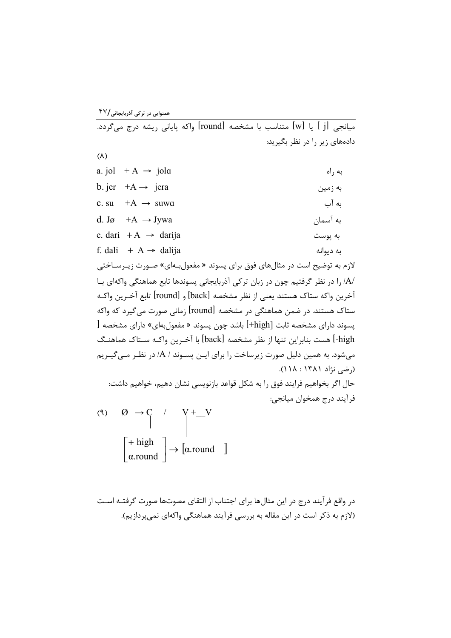.<br>میانجی [j] یا [w] متناسب با مشخصه [round] واکه پایانی ریشه درج میگردد. دادههای زیر را در نظر بگیرید:  $(\lambda)$ a. jol  $+A \rightarrow$  jola به راه b. jer  $+A \rightarrow$  jera به زمین c. su  $+A \rightarrow$  suwa ىە آب d. Jø +A  $\rightarrow$  Jywa به آسمان e. dari  $+A \rightarrow$  darija به يوست f. dali  $+A \rightarrow$  dalija به دیوانه لازم به توضیح است در مثالهای فوق برای پسوند « مفعول بهای» صـورت زیـرسـاختی /A/ را در نظر گرفتیم چون در زبان ترکی آذربایجانی پسوندها تابع هماهنگی واکهای بـا آخرين واكه ستاك هستند يعني از نظر مشخصه [back] و [round] تابع آخـرين واكـه ستاک هستند. در ضمن هماهنگی در مشخصه [round] زمانی صورت می گیرد که واکه پسوند دارای مشخصه ثابت [high+] باشد چون پسوند « مفعولبهای» دارای مشخصه [ high-] هست بنابراین تنها از نظر مشخصه [back] با آخـرین واکـه سـتاک هماهنـگ مے شود. به همین دلیل صورت زیرساخت را برای ایـن پسـوند / A/ در نظـر مـے گیـریم (رضی نژاد ۱۳۸۱ : ۱۱۸). حال اگر بخواهیم فرایند فوق را به شکل قواعد بازنویسی نشان دهیم، خواهیم داشت: فرآيند درج همخوان ميانجي: (4)  $\varnothing \rightarrow C$  /  $V^+$  V<br>  $\begin{bmatrix} + \text{ high} \\ \alpha \text{ round} \end{bmatrix} \rightarrow [\alpha \text{ round} \quad ]$ 

د, واقع فرآیند درج در این مثال ها برای اجتناب از التقای مصوتها صورت گرفتـه اسـت (لازم به ذکر است در این مقاله به بررسی فرآیند هماهنگی واکهای نمی پردازیم).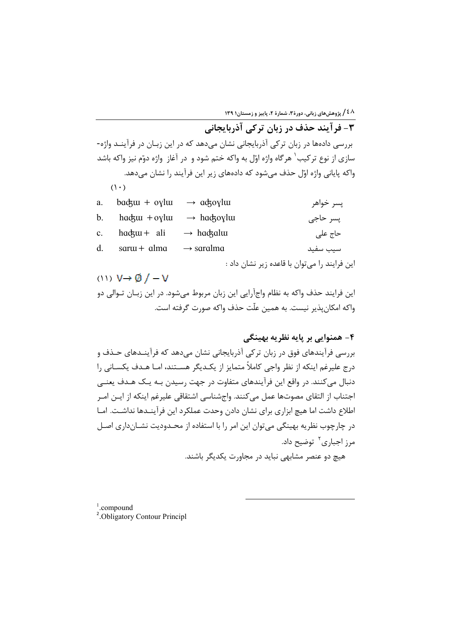۳- فرآیند حذف در زبان ترکی آذربایجانی بررسی دادهها در زبان ترکی آذربایجانی نشان میدهد که در این زبـان در فرآینـد واژه-سازی از نوع ترکیب<sup>٬</sup> هرگاه واژه اوّل به واکه ختم شود و در آغاز واژه دوّم نیز واکه باشد واکه پایانی واژه اوّل حذف میشود که دادههای زیر این فرآیند را نشان میدهد.  $(1 \cdot)$ 

| a.             | $bad$ <sub>xu</sub> + oylu | $\rightarrow$ ackovlum  | پسر خواهر                                    |
|----------------|----------------------------|-------------------------|----------------------------------------------|
| $\mathbf{b}$ . | $h$ adz $m + o$ yl $m$     | $\rightarrow$ hackovlui | پسر حاجي                                     |
| $c_{\cdot}$    | $h$ adztu + ali            | $\rightarrow$ hackalui  | حاج على                                      |
| $d_{\cdot}$    | $s$ ar $u$ + $a$ lma       | $\rightarrow$ saralma   | سيب سفيد                                     |
|                |                            |                         | این فرایند را میتوان با قاعده زیر نشان داد : |

(1)  $V \rightarrow \emptyset$  /  $-V$ این فرایند حذف واکه به نظام واجآرایی این زبان مربوط میشود. در این زبـان تــوالی دو واکه امکان پذیر نیست. به همین علّت حذف واکه صورت گرفته است.

۴- همنوایی پر بایه نظریه بهبنگی

بررسی فرآیندهای فوق در زبان ترکی آذربایجانی نشان میدهد که فرآینـدهای حـذف و درج علیرغم اینکه از نظر واجی کاملاً متمایز از یک<code>دیگر هسـتند، امـا هـدف یکسـانی را</code> دنبال مي كنند. در واقع اين فرآيندهاي متفاوت در جهت رسيدن بـه يـک هـدف يعنـي اجتناب از التقاي مصوتها عمل مي كنند. واجشناسي اشتقاقي عليرغم اينكه از ايــن امــر اطلاع داشت اما هیچ ابزاری برای نشان دادن وحدت عملکرد این فرآینـدها نداشـت. امـا در چارچوب نظریه بهینگی می توان این امر را با استفاده از محـدودیت نشــانداری اصــل مرز اجبا<sub>د</sub>ی<sup>۲</sup> توضیح داد.

هیچ دو عنصر مشابهی نباید در مجاورت یکدیگر باشند.

 $1$ .compound

<sup>2</sup>. Obligatory Contour Principl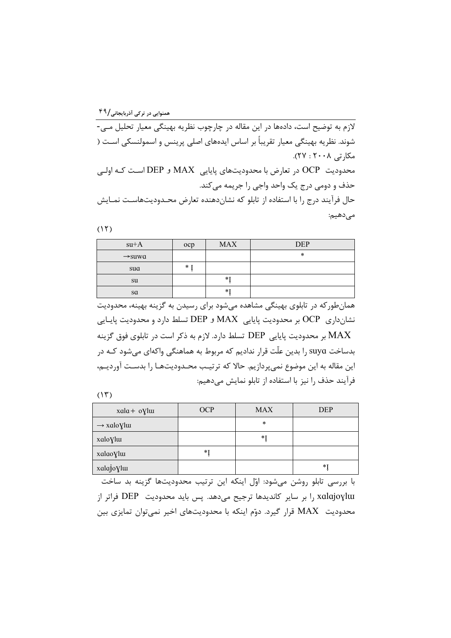لازم به توضیح است، دادهها در این مقاله در چارچوب نظریه بهینگی معیار تحلیل مے -شوند. نظریه بهینگی معیار تقریباً بر اساس ایدههای اصلی پرینس و اسمولنسکی اسـت ( مکارتی ۲۰۰۸ : ۲۷). محدودیت OCP در تعارض با محدودیتهای پایایی MAX و DEP است کـه اولـی حذف و دومي درج يک واحد واجي را جريمه مي کند. حال فرآیند درج را با استفاده از تابلو که نشاندهنده تعارض محـدودیتهاسـت نمـایش

مىدھيم:

 $(15)$ 

| $su+A$             | ocp  | <b>MAX</b> | <b>DEP</b> |
|--------------------|------|------------|------------|
| $\rightarrow$ suwa |      |            | $\ast$     |
| sua                | $*1$ |            |            |
| su                 |      | $*1$       |            |
| sa                 |      | $*1$       |            |

همان طور که در تابلوی بهینگی مشاهده می شود برای رسیدن به گزینه بهینه، محدودیت نشانداری OCP بر محدودیت پایایی MAX و DEP تسلط دارد و محدودیت پایایی بر محدودیت پایایی  $\rm{DEP}$  تسلط دارد. لازم به ذکر است در تابلوی فوق گزینه  $\rm{MAX}$ بدساخت suya را بدین علّت قرار ندادیم که مربوط به هماهنگی واکهای میشود کـه در این مقاله به این موضوع نمی پردازیم. حالا که ترتیب محـدودیتهـا را بدسـت آوردیـم، فرآيند حذف ٫ا نيز با استفاده از تابلو نمايش مي‹هيم:

 $(11)$ 

| $xala + oVluu$          | <b>OCP</b> | <b>MAX</b> | <b>DEP</b> |
|-------------------------|------------|------------|------------|
| $\rightarrow$ xalo Ylui |            | $\ast$     |            |
| xaloylu                 |            | *1         |            |
| xalao yluı              | *1         |            |            |
| xalajoylur              |            |            | $*1$       |

با بررسی تابلو روشن میشود: اوّل اینکه این ترتیب محدودیتها گزینه بد ساخت xalajoylu را بر سایر کاندیدها ترجیح میدهد. پس باید محدودیت DEP فراتر از محدودیت MAX قرار گیرد. دوّم اینکه با محدودیتهای اخیر نمیتوان تمایزی بین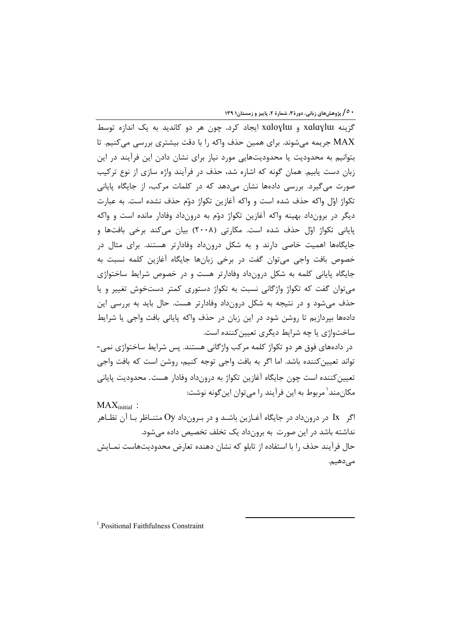**۰ ^/ پژوهشهای زبانی، دورهٔ ۳، شمارهٔ ۲، پاییز و زمستان۱ ۱۳۹** 

گزینه xalaylw و xaloylw ایجاد کرد. چون هر دو کاندید به یک اندازه توسط MAX جریمه میشوند. برای همین حذف واکه را با دقت بیشتری بررسی میکنیم. تا بتوانیم به محدودیت یا محدودیتهایی مورد نیاز برای نشان دادن این فرآیند در این زبان دست یابیم. همان گونه که اشاره شد، حذف در فرآیند واژه سازی از نوع ترکیب صورت می گیرد. بررسی دادهها نشان میدهد که در کلمات مرکب، از جایگاه پایانی تكواژ اوّل واكه حذف شده است و واكه آغازين تكواژ دوّم حذف نشده است. به عبارت دیگر در برونداد بهینه واکه آغازین تکواژ دوّم به درونداد وفادار مانده است و واکه یایانی تکواژ اوّل حذف شده است. مکارتی (۲۰۰۸) بیان میکند برخی بافتها و جایگاهها اهمیت خاصی دارند و به شکل درونداد وفادارتر هستند. برای مثال در خصوص بافت واجي مي توان گفت در برخي زبانها جايگاه آغازين كلمه نسبت به جایگاه پایانی کلمه به شکل درونداد وفادارتر هست و در خصوص شرایط ساختواژی مے توان گفت که تکواژ واژگانی نسبت به تکواژ دستوری کمتر دستخوش تغییر و پا حذف می شود و در نتیجه به شکل درونداد وفادارتر هست. حال باید به بررسی این دادهها بپردازیم تا روشن شود در این زبان در حذف واکه پایانی بافت واجی یا شرایط ساختواژی یا چه شرایط دیگری تعیین کننده است.

در دادههای فوق هر دو تکواژ کلمه مرکب واژگانی هستند. پس شرایط ساختواژی نمی-تواند تعيين كننده باشد. اما اگر به بافت واجي توجه كنيم، روشن است كه بافت واجي تعيين كننده است چون جايگاه آغازين تكواژ به درونداد وفادار هست. محدوديت پاياني مکان،مند ٰ مربوط به این فرآیند ٫ا مے توان این گونه نوشت:

 $MAX_{initial}$ : اگر Ix در درونداد در جایگاه آغـازین باشــد و در بـرونداد Oy متنــاظر بــا آن تظــاهر Ix نداشته باشد در این صورت به برونداد یک تخلف تخصیص داده میشود. حال فرآیند حذف را با استفاده از تابلو که نشان دهنده تعارض محدودیتهاست نمـایش مى دهيم.

<sup>1</sup>. Positional Faithfulness Constraint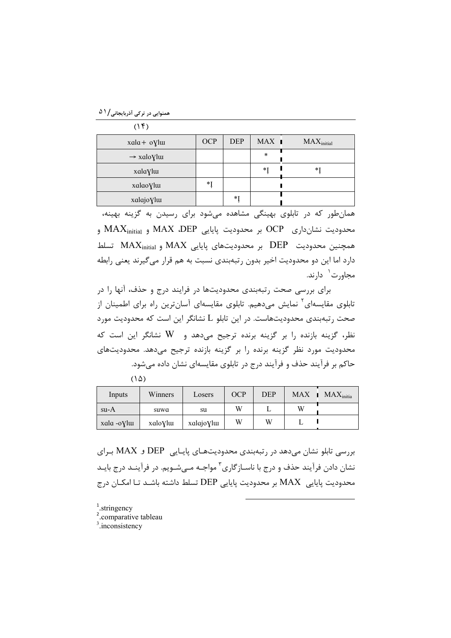همنوایی در ترکی آذربایجانی/۵۱

| (1f)                    |            |            |                      |                 |
|-------------------------|------------|------------|----------------------|-----------------|
| $xala + oVluu$          | <b>OCP</b> | <b>DEP</b> | $MAX$ $\blacksquare$ | $MAX_{initial}$ |
| $\rightarrow$ xalo Ylui |            |            | $\star$              |                 |
| xalaylw                 |            |            | $*_{\mathrm{I}}$     | $*$ ]           |
| xalaoylua               | *I         |            |                      |                 |
| xalajoVlur              |            | *]         |                      |                 |

همان طور که در تابلوی بهینگی مشاهده میشود برای رسیدن به گزینه بهینه، محدودیت نشانداری OCP بر محدودیت پایایی MAX ،DEP و MAX و MAX تسلط DEP بر محدودیتهای پایایی MAX و MAX $\lambda$  تسلط تسلط دارد اما این دو محدودیت اخیر بدون رتبهبندی نسبت به هم قرار می گیرند یعنی رابطه مجاورت<sup>\</sup> دارند.

برای بررسی صحت رتبهبندی محدودیتها در فرایند درج و حذف، آنها را در تابلوی مقایسهای<sup>۲</sup> نمایش میدهیم. تابلوی مقایسهای آسانترین راه برای اطمینان از صحت رتبهبندی محدودیتهاست. در این تابلو L نشانگر این است که محدودیت مورد نظر، گزینه بازنده را بر گزینه برنده ترجیح می دهد و W نشانگر این است که محدودیت مورد نظر گزینه برنده را بر گزینه بازنده ترجیح می دهد. محدودیتهای حاکم بر فرآیند حذف و فرآیند درج در تابلوی مقایسهای نشان داده میشود.

|--|--|

| Inputs      | Winners | Losers     | <b>OCP</b> | <b>DEP</b> |   | $MAX$ $MAX_{initia}$ |
|-------------|---------|------------|------------|------------|---|----------------------|
| su-A        | suwa    | su         | W          |            | W |                      |
| xala -oVlui | xaloVlu | xalajoVlur | W          | W          |   |                      |

بررسی تابلو نشان می دهد در رتبهبندی محدودیتهـای پایـایی DEP و MAX بـرای نشان دادن فرآیند حذف و درج با ناسـازگاری<sup>۳</sup> مواجـه مـیشـویم. در فرآینـد درج بایـد محدوديت پايايي MAX بر محدوديت پايايي DEP تسلط داشته باشـد تـا امكـان درج

- $\frac{1}{2}$ . stringency
- <sup>2</sup>.comparative tableau
- $3$ . inconsistency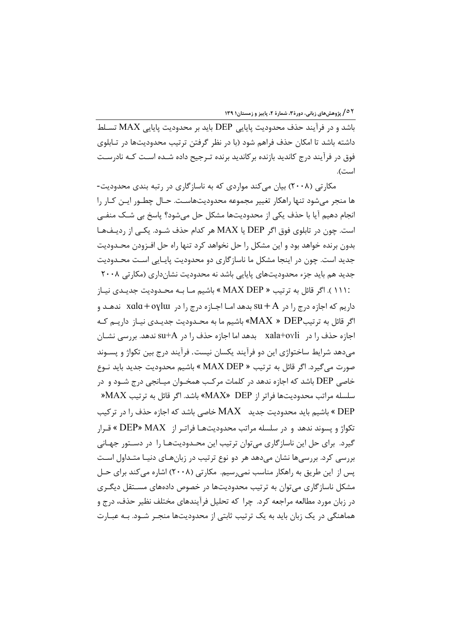باشد و در فرآیند حذف محدودیت پایایی DEP باید بر محدودیت پایایی MAX تسـلط داشته باشد تا امکان حذف فراهم شود (با در نظر گرفتن ترتیب محدودیتها در تـابلوی فوق در فرآیند درج کاندید بازنده برکاندید برنده تـرجیح داده شـده اسـت کـه نادرسـت است).

مکارتی (۲۰۰۸) بیان میکند مواردی که به ناسازگاری در رتبه بندی محدودیت-ها منجر میشود تنها راهکار تغییر مجموعه محدودیتهاست. حـال چطــور ایــن کــار را انجام دھیم آیا با حذف یکی از محدودیتھا مشکل حل میشود؟ پاسخ بی شـک منفـی است. چون در تابلوی فوق اگر DEP یا MAX هر کدام حذف شـود. یکـی از ردیـفهـا بدون برنده خواهد بود و این مشکل را حل نخواهد کرد تنها راه حل افـزودن محـدودیت جدید است. چون در اینجا مشکل ما ناسازگاری دو محدودیت پایـایی اسـت محـدودیت جدید هم باید جزء محدودیتهای پایایی باشد نه محدودیت نشانداری (مکارتی ۲۰۰۸

:۱۱۱ ). اگر قائل به ترتیب « MAX DEP » باشیم مـا بـه محـدودیت جدیـدی نیـاز داريم كه اجازه درج را در  $A + K$  بدهد امـا اجـازه درج را در xala+oylw ندهـد و اگر قائل به ترتیبMAX » DEP» باشیم ما به محـدودیت جدیـدی نیــاز داریــم کــه MAX » DEP اجازه حذف را در xala+ovli بدهد اما اجازه حذف را در su+A ندهد. بررسی نشــان مي دهد شرايط ساختواژي اين دو فرآيند يكسان نيست. فرآيند درج بين تكواژ و پسـوند صورت می گیرد. اگر قائل به ترتیب « MAX DEP » باشیم محدودیت جدید باید نـوع خاصی DEP باشد که اجازه ندهد در کلمات مرکب همخـوان میـانجی درج شـود و در  $MAX$  سلسله مراتب محدوديتها فراتر از MAX» DEP؟ باشد. اگر قائل به ترتیب  $\operatorname{MAX}$ باشیم باید محدودیت جدید  $\rm MAX$  خاصی باشد که اجازه حذف را در ترکیب » » تكواژ و پسوند ندهد و در سلسله مراتب محدودیتهـا فراتـر از DEP» MAX » قـرار گیرد. برای حل این ناسازگاری می توان ترتیب این محـدودیتهـا را در دسـتور جهـانی بررسی کرد. بررسیها نشان میدهد هر دو نوع ترتیب در زبانهـای دنیـا متـداول اسـت یس از این طریق به راهکار مناسب نمی٫سیم. مکارتی (۲۰۰۸) اشاره می کند برای حـل مشکل ناسازگاری می توان به ترتیب محدودیتها در خصوص دادههای مسـتقل دیگـری در زبان مورد مطالعه مراجعه کرد. چرا که تحلیل فرآیندهای مختلف نظیر حذف، درج و هماهنگی در یک زبان باید به یک ترتیب ثابتی از محدودیتها منجـر شــود. بــه عبــارت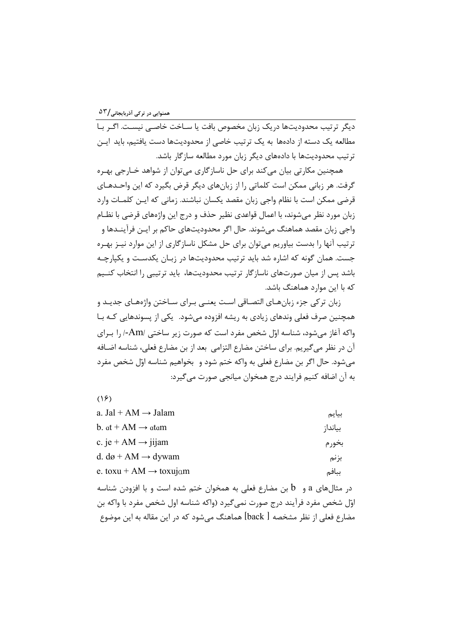دیگر ترتیب محدودیتها دریک زبان مخصوص بافت یا ســاخت خاصــ<sub>ی</sub> نیســتـ اگــر بــا مطالعه یک دسته از دادهها به یک ترتیب خاصی از محدودیتها دست یافتیم، باید ایـن ترتیب محدودیتها با دادههای دیگر زبان مورد مطالعه سازگار باشد.

همچنین مکارتی بیان می کند برای حل ناسازگاری می توان از شواهد خــارجی بهـره گرفت. هر زبانی ممکن است کلماتی را از زبانهای دیگر قرض بگیرد که این واحـدهـای قرضی ممکن است با نظام واجی زبان مقصد یکسان نباشند. زمانی که ایـن کلمـات وارد زبان مورد نظر میشوند، با اعمال قواعدی نظیر حذف و درج این واژههای قرضی با نظـام واجی زبان مقصد هماهنگ میشوند. حال اگر محدودیتهای حاکم بر ایــن فرآینــدها و ترتیب آنها را بدست بیاوریم می توان برای حل مشکل ناسازگاری از این موارد نیـز بهـره جست. همان گونه که اشاره شد باید ترتیب محدودیتها در زبـان یکدسـت و یکپارچـه باشد پس از میان صورتهای ناسازگار ترتیب محدودیتها، باید ترتیبی را انتخاب کنـیم که با این موارد هماهنگ باشد.

زبان ترکی جزء زبانهای التصاقی است یعنی برای ساختن واژههای جدید و همچنین صرف فعلی وندهای زیادی به ریشه افزوده میشود. یکی از پسوندهایی کـه بـا واکه آغاز می شود، شناسه اوّل شخص مفرد است که صورت زیر ساختی /Am-/ را بـرای آن در نظر می گیریم. برای ساختن مضارع التزامی بعد از بن مضارع فعلی، شناسه اضـافه می شود. حال اگر بن مضارع فعلی به واکه ختم شود و بخواهیم شناسه اوّل شخص مفرد به آن اضافه کنیم فرایند درج همخوان میانجی صورت می گیرد:

 $(15)$ 

| a. Jal + AM $\rightarrow$ Jalam                                            | بيايم   |
|----------------------------------------------------------------------------|---------|
| b. $at + AM \rightarrow atam$                                              | بياندا; |
| c. je + AM $\rightarrow$ jijam                                             | بخورم   |
| d. $d\omega + AM \rightarrow dywam$                                        | بزنم    |
| e. toxu + AM $\rightarrow$ toxujam                                         | ببافم   |
| در مثالهای a و b بن مضارع فعلی به همخوان ختم شده است و با افزودن شناسه     |         |
| اوّل شخص مفرد فرآیند درج صورت نمی گیرد (واکه شناسه اول شخص مفرد با واکه بن |         |
| مضارع فعلی از نظر مشخصه [ back] هماهنگ می شود که در این مقاله به این موضوع |         |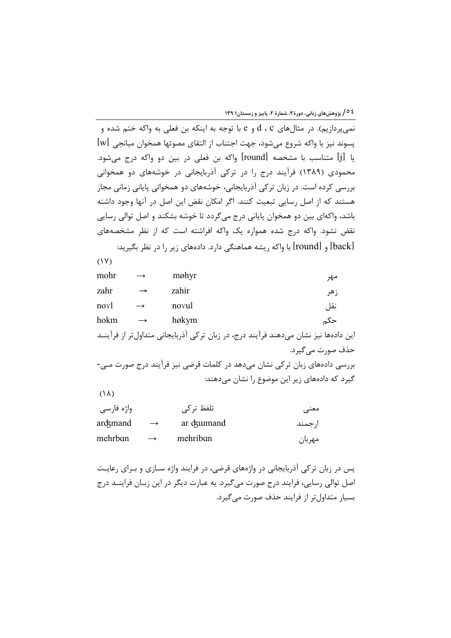**؟ ٥/ پژوهشهای زبانی، دورهٔ ۳، شمارهٔ ۲، پاییز و زمستان۱ ۱۳۹** 

نمي يردازيم). در مثالهاي d ، c و e با توجه به اينكه بن فعلي به واكه ختم شده و پسوند نیز با واکه شروع میشود، جهت اجتناب از التقای مصوتها همخوان میانجی [w] يا [j] متناسب با مشخصه [round] واكه بن فعلى در بين دو واكه درج ميشود. محمودی (۱۳۸۹) فرآیند درج را در ترکی آذربایجانی در خوشههای دو همخوانی بررسی کرده است. در زبان ترکی آذربایجانی، خوشههای دو همخوانی پایانی زمانی مجاز هستند که از اصل رسایی تبعیت کنند. اگر امکان نقض این اصل در آنها وجود داشته باشد، واکهای بین دو همخوان پایانی درج میگردد تا خوشه بشکند و اصل توالی رسایی نقض نشود. واکه درج شده همواره یک واکه افراشته است که از نظر مشخصههای [back] و [round] با واکه ریشه هماهنگی دارد. دادههای زیر را در نظر بگیرید:

 $(1Y)$ mohr møhyr  $\longrightarrow$ مهر zahr zahir  $\rightarrow$ زهر novl  $\rightarrow$ novul نقل hokm  $\rightarrow$ høkym حکم این دادهها نیز نشان میدهند فرآیند درج، در زبان ترکی آذربایجانی متداول تر از فرآینــد حذف صورت مے گیرد. بررسی دادههای زبان ترکی نشان میدهد در کلمات قرضی نیز فرآیند درج صورت مـی-گیرد که دادههای زیر این موضوع را نشان میدهند:

 $(\lambda)$ 

| واژه فارسی |               | تلفظ تر کے             | معنے    |
|------------|---------------|------------------------|---------|
| arckmand   | $\rightarrow$ | ar c <sub>rumand</sub> | ار جمند |
| mehrban    | $\rightarrow$ | mehriban               | مهربان  |

یس در زبان ترکی آذربایجانی در واژههای قرضی، در فرایند واژه سـازی و بـرای رعایـت اصل توالي رسايي، فرايند درج صورت مي گيرد. به عبارت ديگر در اين زبـان فراينــد درج بسیار متداول تر از فرایند حذف صورت می گیرد.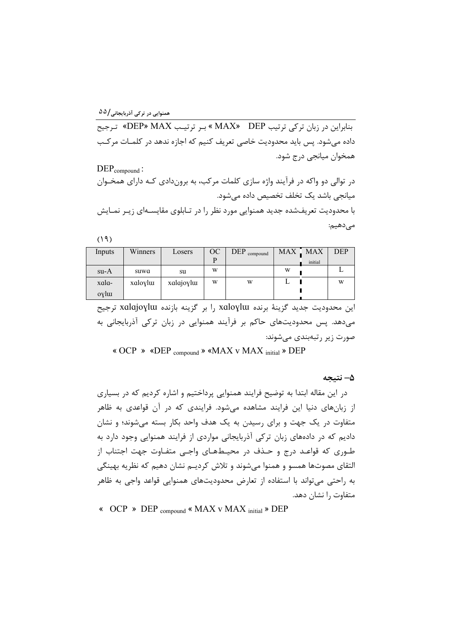همنوایی در ترکی آذربایجانی /۵۵

بنابراین در زبان ترکی ترتیب MAX» DEP » بر ترتیب DEP» MAX» ترجیح داده مے شود. پس باید محدودیت خاصے تعریف کنیم که اجازه ندهد در کلمـات مرکـب همخوان ميانجي درج شود.

 $DEP_{compound}:$ در توالي دو واکه در فرآيند واژه سازي کلمات مرکب، به بروندادي کـه داراي همخـوان میانجی باشد یک تخلف تخصیص داده می شود. با محدودیت تعریفشده جدید همنوایی مورد نظر را در تـابلوی مقایسـهای زیـر نمـایش مىدھيم:

 $(19)$ 

| Inputs | Winners | Losers    | OC | $\text{DEP}_{\text{compound}}$ | <b>MAX</b> | . MAX   | <b>DEP</b> |
|--------|---------|-----------|----|--------------------------------|------------|---------|------------|
|        |         |           | D  |                                |            | initial |            |
| su-A   | suwa    | su        | W  |                                | W          |         |            |
| xala-  | xaloylu | xalajoylu | W  | W                              |            |         | W          |
| oylu   |         |           |    |                                |            |         |            |

این محدودیت جدید گزینهٔ برنده xaloylw را بر گزینه بازنده xalajoylw ترجیح می دهد. پس محدودیتهای حاکم بر فرآیند همنوایی در زبان ترکی آذربایجانی به صورت زیر رتبهبندی مے شوند:

« OCP » «DEP compound » «MAX v MAX initial » DEP

۵– نتىجە

در این مقاله ابتدا به توضیح فرایند همنوایی پرداختیم و اشاره کردیم که در بسیاری از زبانهای دنیا این فرایند مشاهده می شود. فرایندی که در آن قواعدی به ظاهر متفاوت در یک جهت و برای رسیدن به یک هدف واحد بکار بسته می شوند؛ و نشان دادیم که در دادههای زبان ترکی آذربایجانی مواردی از فرایند همنوایی وجود دارد به طـوری که قواعـد درج و حـذف در محیـطهـای واجـی متفـاوت جهت اجتناب از التقای مصوتها همسو و همنوا میشوند و تلاش کردیـم نشان دهیم که نظریه بهینگی به راحتی می تواند با استفاده از تعارض محدودیتهای همنوایی قواعد واجی به ظاهر متفاوت را نشان دهد.

« OCP » DEP compound « MAX v MAX initial » DEP